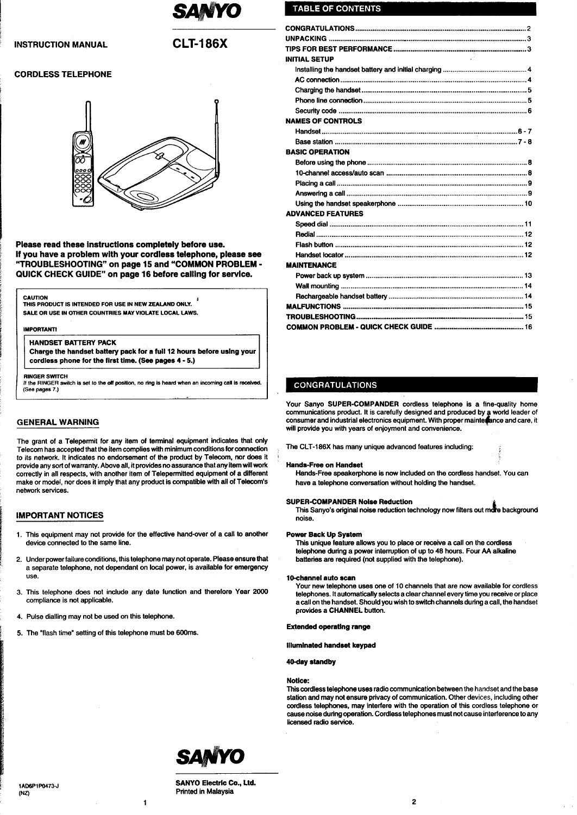

# **INSTRUCTION MANUAL**

# **CLT-186X**

# **CORDLESS TELEPHONE**



Please read these instructions completely before use. If you have a problem with your cordless telephone, please see "TROUBLESHOOTING" on page 15 and "COMMON PROBLEM -QUICK CHECK GUIDE" on page 16 before calling for service.

#### **CAUTION**

THIS PRODUCT IS INTENDED FOR USE IN NEW ZEALAND ONLY. SALE OR USE IN OTHER COUNTRIES MAY VIOLATE LOCAL LAWS.

### **IMPORTANTI**

#### **HANDSET BATTERY PACK**

Charge the handset battery pack for a full 12 hours before using your cordless phone for the first time. (See pages 4 - 5.)

**RINGER SWITCH** 

If the RINGER .<br>itch is set to the off position, no ring is heard when an incoming call is received. (See pages 7.)

# **GENERAL WARNING**

The grant of a Telepermit for any item of terminal equipment indicates that only Telecom has accepted that the item complies with minimum conditions for connection to its network. It indicates no endorsement of the product by Telecom, nor does it provide any sort of warranty. Above all, it provides no assurance that any item will work correctly in all respects, with another item of Telepermitted equipment of a different make or model, nor does it imply that any product is compatible with all of Telecom's network services.

## **IMPORTANT NOTICES**

- 1. This equipment may not provide for the effective hand-over of a call to another device connected to the same line.
- 2. Under power failure conditions, this telephone may not operate. Please ensure that a separate telephone, not dependant on local power, is available for emergency **use**
- 3. This telephone does not include any date function and therefore Year 2000 compliance is not applicable.

 $\mathbf{1}$ 

- 4. Pulse dialling may not be used on this telephone.
- 5. The "flash time" setting of this telephone must be 600ms.

# **TABLE OF CONTENTS**

| <b>INITIAL SETUP</b>          |  |
|-------------------------------|--|
|                               |  |
|                               |  |
|                               |  |
|                               |  |
|                               |  |
| <b>NAMES OF CONTROLS</b>      |  |
|                               |  |
|                               |  |
| <b>BASIC OPERATION</b>        |  |
|                               |  |
|                               |  |
|                               |  |
|                               |  |
|                               |  |
| <b>ADVANCED FEATURES</b>      |  |
|                               |  |
|                               |  |
|                               |  |
|                               |  |
| <b>MAINTENANCE</b>            |  |
|                               |  |
|                               |  |
|                               |  |
|                               |  |
|                               |  |
| CONSIDERED OF OUR CHECK CHINE |  |

# **CONGRATULATIONS**

Your Sanyo SUPER-COMPANDER cordless telephone is a fine-quality home communications product. It is carefully designed and produced by a world leader of consumer and industrial electronics equipment. With proper mainterance and care, it will provide you with years of enjoyment and convenience.

The CLT-186X has many unique advanced features including:

### **Hands-Free on Handset**

Hands-Free speakerphone is now included on the cordless handset. You can have a telephone conversation without holding the handset.

#### **SUPER-COMPANDER Noise Reduction**

This Sanyo's original noise reduction technology now filters out more background noise.

#### **Power Back Up System**

This unique feature allows you to place or receive a call on the cordless telephone during a power interruption of up to 48 hours. Four AA alkaline batteries are required (not supplied with the telephone).

#### 10-channel auto scan

Your new telephone uses one of 10 channels that are now available for cordless telephones. It automatically selects a clear channel every time you receive or place a call on the handset. Should you wish to switch channels during a call, the handset provides a CHANNEL button.

# **Extended operating range**

**Illuminated handset keypad** 

40-day standby

#### Notice:

This cordless telephone uses radio communication between the handset and the base station and may not ensure privacy of communication. Other devices, including other cordiess telephones, may interfere with the operation of this cordiess telephone or cause noise during operation. Cordless telephones must not cause interference to any licensed radio service.



**SANYO Electric Co., Ltd.** Printed in Malaysia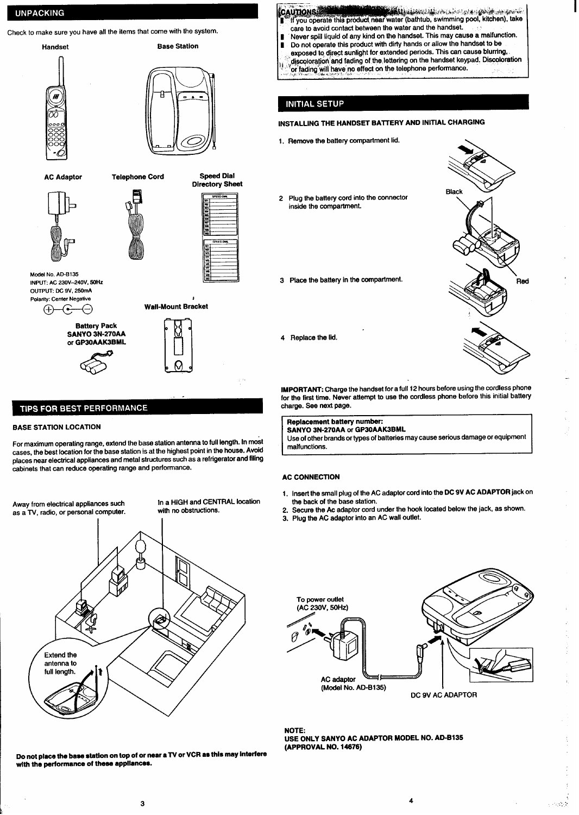# <span id="page-1-0"></span>**UNPACKING**



# TIPS FOR BEST PERFORMANCE

#### **BASE STATION LOCATION**

**For maximum operating range, extend the base station antenna to full length. In most cases, the best location for the base station is at the highest point in the house. Avoid places near electrical appliances and metal structures such as a refrigerator and fifing cabinets that can reduce operating range and performance.**

**Away from efactrical appliances such as a TV, radio, or personal computer.** **In a HIGH and CENTRAL location with no obstructions.**



**UTTONS:** The product near water (bathtub, swimming pool, kitchen), take **CAUTIONS a-re 10avoid contact between the water and the handset. ~ ~ Never spill liquid of any kind on the handset. This may cause a malfunction. 1 Do not operate this product with dirty hands or allow the handset to be**  $\frac{1}{2}$  **exposed** to direct sunlight for extended periods. This can cause blurring, **~~#@c@or@o~Wrd fading of the lettering on the handset keypad. Discoloration or facting~~i~,,~~e~no eff~t on the Ieiephone perfo~~ce. ,.,. .,, ... . . .**

# **INITIAL SETUP**

# **INSTALLING THE HANDSET BATTERY AND INITIAL CHARGING**

- **Remove the battery compartment lid. 1. \**
- **2 Plug the battery cord into the connector inside the compartment.**
- **3 Place the battery in the compartment. ad**



**lMPORTANT:** Charge the handset for a full 12 hours before using the cordless phone **for the first time. Never attempt to use the cordless phone before this initial battery charge. See nerd page.**

**Replacement battery number: SANYO 3N-270AA or GP30AAK3BML**

**Use of other brands ortypes of batteries may cause serious damage or equipment malfunctions.**

#### **AC Connection**

**4 Replace the fii.**

- **1. Insert the small plug of the AC adaptor cord into the DC 9V AC ADAPTOR jack on the back of the base station.**
- **2. Secure the Ac adaptor cord under the hook located below the jack, as shown.**
- **3. Plug the AC adaptor into an AC wafl outlet.**





**4**

**NOTE: USE ONLY SANYO AC ADAPTOR MODEL NO. AD-B135 (APPROVAL NO. 14676)**

**Do not place the beee station on top of or neer e TV or VCR ae thie mey Interfere wfth the parformense of these eppllenaee.**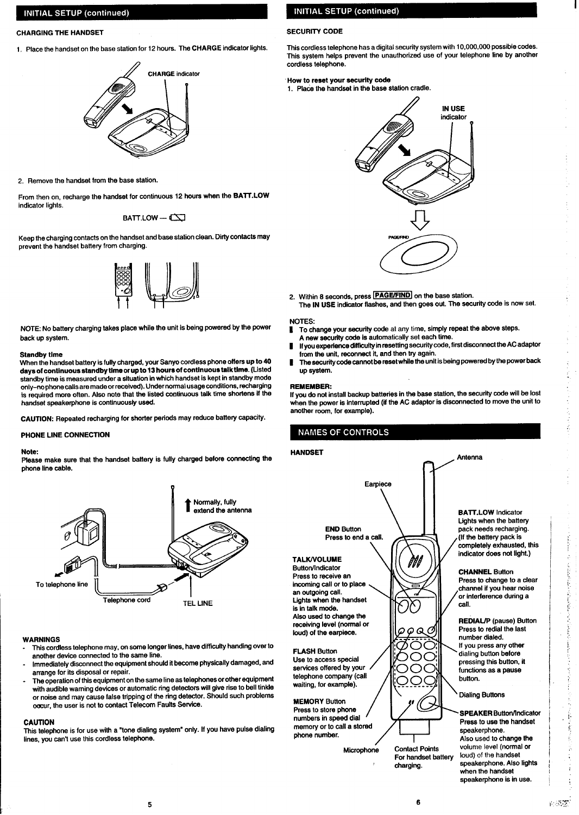# <span id="page-2-0"></span>**INITIAL SETUP (continued)**

## **CHARGING THE HANDSET**

**1, Place lhehandset onthebasestation for12hours. ~eCHARGE indatorhghts.**



**2. Remove the handset from the base station.**

**From then on, recharge the handset for continuous 12 hwra when the BAT1.LOW indicator lights.**

**BAIT. LOW — ~**

**Keep the charging contacts on the handset and base ststiin clean. Dirty contacts may prevent the handset battery from charging.**



**NOTE: No battery charging takes place while the unit is being powered by the power back up system.**

# **Standby time**

**When the handset battery is fully charged, your Sanyo cordless phone offers up to 49 days of continuous stendby time or up to 13 hours of continuous talk time. (Listed standby time is measured under a situation in which handset is kept in standby mode only-no phone calls are made orreceived). Under normal usage conditions, recharging is required more often. Also note that the listed continuous talk time shortens if the handset speakerphone is continuously used.**

**CAUTION: Repeated recharging for shorter periods may reduce battery capacity.**

#### **PHONE LINE CONNECTION**

#### **Note**

**Please make sure that the handset battery is fully charged before connecting the phone line cable.**



#### **WARNINGS**

- **Thk cordless telephone may, on some longer fines, have difficulty handing over to another device connected to the same line.**
- **Immediately disconnect the equipment should it become physically damaged, and arrange for its disposal or repair.**
- **The operation ofthis equipment on the same line as telephones or other equipment with audible warning devices or automatic ring detectors will give rise to bell tinkle or noise and may cause false tripping of the ring detector. Should such problems occur, the user is not to contact Telecom Faults Service.**

#### **CAUTION**

**This tefephone is for use with a "tone dialing system" only. If you have pulse dialing lines, you can't use this cordless telephone.**

# **INITIAL SETUP (continued)**

#### **SECURIN CODE**

**This cordless telephone has a digital security system with 10,000,000 possible codes. This system helps prevent the unauthorized use of your telephone tine by another cordless telephone.**

# **How to reset your security code**

**1. Pia& the handset in the base station cradle.**



- 2. Within 8 seconds, press **PAGE/FIND** on the base station.
	- **The IN USE indicator flashes, and then goes out. The security code is now set.**

# **NOTES**

- **I To change your aecurfty code at any time, simply repeat the above steps. A new security code is automatically set each time.**
- If you experience difficulty in resetting security code, first disconnect the AC adaptor **from the unit, reconnect it, and then try again.**
- **I ThesSC@YCOCfSCSnn otk reset while the unitis being powered by the power beck up system.**

## **REMEMBER:**

**HANDSET**

**If you do not install backup batteries in the base station, the security code will be lost when the power is interrupted (if the AC adeptor is disconnected to move the unit to anothsr room, for example).**

**w**

**Antenna**

**call.**

# **NAMES OF CONTROLS**

 $\left| \begin{array}{ccc} 1 & 1 \\ 1 & 1 \\ 1 & 1 \end{array} \right|$ **Earpiece END Button** Press to end a call.

## **TALK/VOLUME**

Button/Indicator Press to receive an incoming call or to place an outgoing call. Lights when the handset is in talk mode. Also used to change the receiving level (normal or loud) of the earpiece.

### **FLASH Button** Use to access special

services offered by your telephone company (call waiting, for example).

**MEMORY Button Press to store phone**  $numbers$  in speed dial **/ ~~~~~ztintimt.** memory or to call a stored<br>phone number.

**Microphone Contact Points For handset battery charging.**

ΘQ

OOC

**BAIT. LOW Indicator Lights when the battery pack needs recharging. (If the bsttety pack is mmpletely exhausted, this**  $indicateor does not light.)$ 

**CHANNEL Button Press to change to a clear channsl if you hear noise or interference during a**

**REDIAUP (pause) Button Press to redial the last number dialed. If you press any other dialing buffon before pressing this button, it functions as a pause button.**

**Dialing Buttons** 

**SPEAKER Button/Indicator Press to use the handset speakerphone. Also used to change fhs volume level (normal or loud) of the handset speakerphone. Also lights when the handset speakerphone is in use.**

ś,

eter et

ł

Í. 医皮肤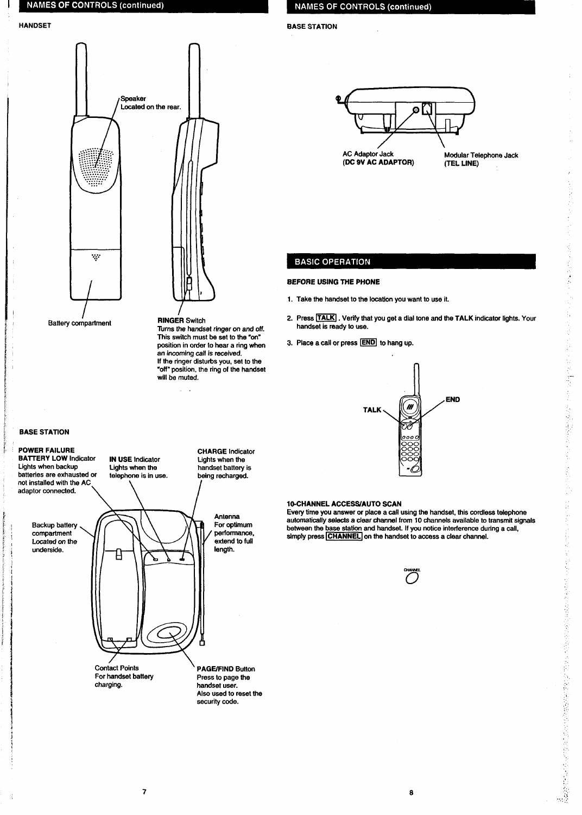# <span id="page-3-0"></span>**NAMES OF CONTROLS (continued)**

**HANDSET** 



**IN USE Indicator** 

Lights when the

**Contact Points** 

charging.

For handset battery

 $\overline{\mathbf{z}}$ 

telephone is in use.

Turns the handset ringer on and off. This switch must be set to the "on" position in order to hear a ring when an incoming call is received. If the ringer disturbs you, set to the "off" position, the ring of the handset will be muted.

 $\ddot{\phantom{a}}$ 

# **NAMES OF CONTROLS (continued)**

**BASE STATION** 



Modular Telephone Jack

医反应

h<br>V

# **BASIC OPERATION**

# **BEFORE USING THE PHONE**

- 1. Take the handset to the location you want to use it.
- 2. Press TALK . Verify that you get a dial tone and the TALK indicator lights. Your handset is ready to use.
- 3. Place a call or press **END** to hang up.





**BATTERY LOW Indicator** Lights when backup batteries are exhausted or not installed with the AC adaptor connected.

> Backup battery compartment Located on the underside.

**CHARGE Indicator** Lights when the handset battery is being recharged.

> Antenna For optimum performance, extend to full length.

**PAGE/FIND Button** Press to page the handset user. Also used to reset the security code.

# 10-CHANNEL ACCESS/AUTO SCAN

**IDENTIFY AND TO STATE AND THE SET OF A SET OF A SET OF A SET OF A SET OF A SET OF A SET OF A SET OF A SET OF A SET OF A SET OF A SET OF A SET OF A SET OF A SET OF A SET OF A SET OF A SET OF A SET OF A SIMPly press CHANNEL** 



8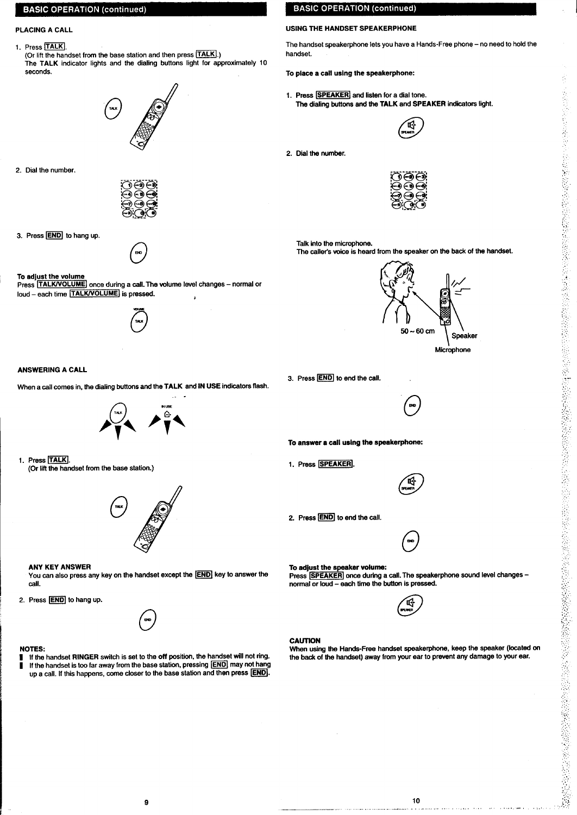# <span id="page-4-0"></span>**BASIC OPERATION (continued)**

**1. Press TALK** 

**(Or lift the handset from the base station and then press <b>TALK**). **The TALK indicator lights and the dialing buttons light for approximately 10 seconds.**



**2. Dial the number.**



**3.** Press **END** to hang up.



# **To adjust the voluma**

 $Press$  **TALK/VOLUME**] once during a call. The volume level changes – normal or  $\frac{1}{2}$  **loud** – each time **TALK/VOLUME** is pressed.



# **ANSWERING A CALL**

**When a call comes in, the dding buttone and the TALK and IN USE indicators ffash.**



**1. Press TALK (Or liftthe handset from the baaa station.)**



## **ANY KEY ANSWER**

**You can aleo press any key on the handset except the ~ key to answer the cell.**

2. Press **END** to hang up.

#### **NOTES:**

**I If the handset RINGER switch is set to the off position, the handset will not ring. I If the handset is too faraway from the base station, pressing ~ may not hang**  $u$  $p$   $a$  **call.** If this happens, come closer to the base station and then press  $[END].$ 

# **BASIC OPERATION (continued)**

# **PLACING A CALL USING THE HANDSET SPEAKERPHONE**

**The handset speakerphone lets you have a Hands-Frae phone – no need to hold the handset.**

**To placa a call using the speakerphone:**

1. **Press SPEAKER** and listen for a dial tone. **The dialing buttons and the TALK** and SPEAKER indicators light.<br>  $\begin{pmatrix} 104 \\ 044 \end{pmatrix}$ 



**2. Dial the number.**



**Talk into the microphone. The cellet's voice is heard from the speaker on the beck of the handset.**



**3. Praae ~ to end the cell.**



**To anawer a 0s11using the apeskarphon=**

1. Press **SPEAKER** 



**2. Preae ~ to and tha call.**



**To adjust the speaker volume: Press SPEAKER** once during a call. The speakerphone sound level changes **normal or loud - aach time the button is pressed.**



#### **CAUTION**

**when using the Handa-Frw handset apaake~hone, keep the speaker (located on the back of the handset) away from yuur ear to prevent any damage to your ear.**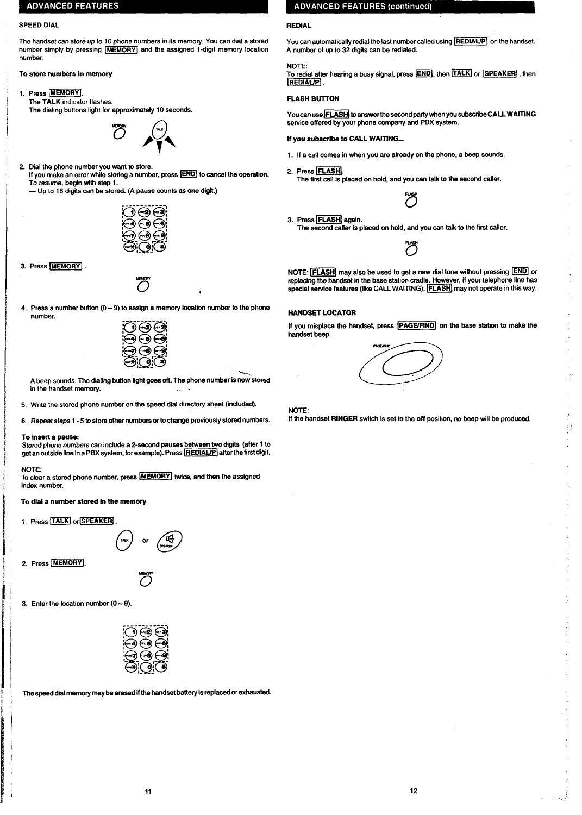# <span id="page-5-0"></span>**ADVANCED FEATURES**

#### **SPEED DIAL**

**The handset can store up to 10 phone numbers in its memory. You can dial a stored**  $number$  simply by pressing  $\overline{[MEMORY]}$  and the assigned 1-digit memory location **number.**

**To store numbers in memory**

**1. Press [~1. The TALK indicator flashes. The dialing buttons light for approximately 10 seconds.**



**2. Dial the phone number you want to store. If you maka an error while storing a number, press ~ to cancel the operation. To resume, begin with stap 1.**

**— Up to 16 digits can be stored. (A pauae munte es one digit.)**



**3. Press 1~[.**



**4. Press a number button (O- 9) to assign a memory location number to the phone number.**

**1**



%.. **A beep sounds. The diating button tightgoes oft. The phone number is now stored in the handset memory.**

- **5. Write the stored phone number on the speed dial directory sheet (included).**
- **6. Repeat slaps 1-5 to stora other numbers or to change previously stored numbers.**

### **To** insert a pause:

**Stored phone numbers can include a 2-second pauaes between two digits (after 1 to get an outside line ina PBX system, for example). Press p] atterthe firstdigit.**

## **NOTE:**

**To dear a stored phone number, press 1~1 twice, and then the asaigned index number.**

**To dial a number stored in the memory**

1. Press **TALK** or **SPEAKER** 



2. Press **MEMORY** 



3. Enter the **Iocation** number  $(0 \sim 9)$ .



**The apead dial memory maybe erased ifthe handset battery is replaced orexheueted.**

# **ADVANCED FEATURES (continued)**

## **REDIAL**

**NOTE:**

**You can automatically redial the last number called using [~[ on the handset. A number of up to 32 digits can be redialed.**

#### **To redial after hearing a busy signal, press ~, then [~ or ~, then REDIAUPI**

### **FLASH BUITON**

**Youcanusa~~ toanewertheeecondparly when you subacribeCALL WAITING seivice offered by your phone company and PBX system.**

**If you subscribe to CALL WAITfNG...**

- **1. If a call cornea in when you are already on the phone, a beep sounds.**
- **2. Press ~]. The first cell is placed on hold, and you can talk to the second caller.**
- **3. Press = again. 3 The second caller is placed on hold, and you can talk to the first caller.**

**NOTE: FLASH** may also be used to get a new dial tone without pressing **END** or **replacing the handset in the base station cradle. However, if your telephone tine has special service features (fike CAU WAITING), ~] may not operate in this way.**

**254** 

# **HANDSET LOCATOR**

**If you misplace the handset, press ~{ on the base station to maka the handset baep.**



**NOTE**

**If the handset RINGER switch is set to the off position, no beep will be produced.**

묲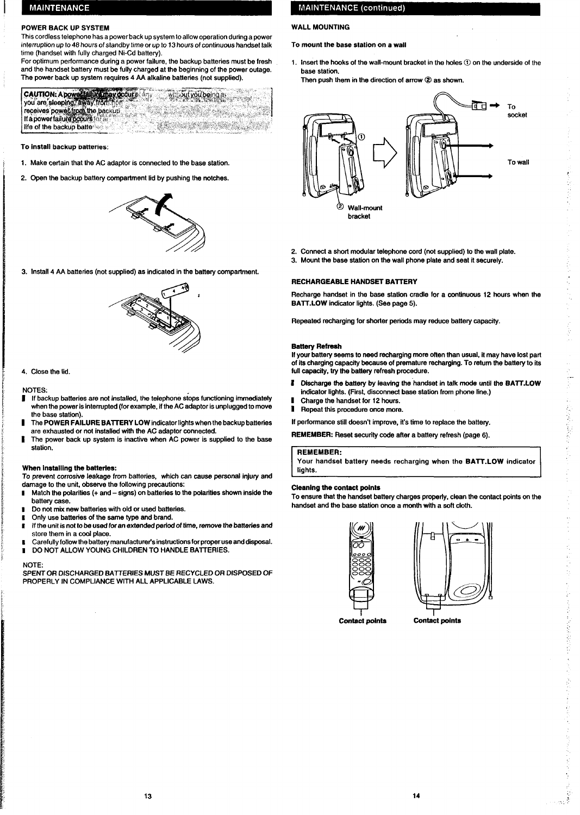# <span id="page-6-0"></span>**MAINTENANCE**

# **POWER BACK UP SYSTEM**

**This cordless telephone has a power backup system 10allow operalion during a power interruption up to 48 hours of slandby time** *or* **up to 13 hours of continuws handset talk time (handset with fully charged Ni-Cd battery).**

**For optimum performance during a power failure, the backup batteries must be fresh and the handset battery must be fully charged at the beginning of the power outage. The power back up system requires 4 AA alkafine batteries (not supplied).**

CAUTION: A power failure may accura any out you being a VI. you are sleeping, away from home<br>receives power from the backup  $\mathbb{R}^n$ life of the backup batteries

**To instsll bsckup batteries:**

- **1.** Make certain that the AC adaptor is connected to the base station.
- **2. Openthe backup battery compartment tidbypushing the notches.**



**3.** Install 4 AA batteries (not supplied) as indicated in the battery compartment.



**4. Close the lid.**

## **NOTES**

- *If backup batteries are not installed, the telephone stops functioning immediately* **when the power is interrupted (for example, ifthe AC adaptor is unplugged to move the base station).**
- **I The POWER FAILURE BAITERY LOW indicator fightswhen the backup batteries are exhausted or not installed w"ththe AC adaptor connected.**
- **I The power back Up system is inactive when AC power is suppfied to the base station.**

## **When installing the batteries:**

**To prevent corrosive leakage from batteries, which can cause personal injury and damage to the unit, obsewe the following precautions**

- **1 Match the polarities (+ and - signs) on baftaries to the polarities shown inside the battery case.**
- **1 Do not mix new batteries with old or used batteriee.**
- **t Only use batteries of the same type and brand.**
- **s Ifthe unit is not to be used for an extended period of time, remove the batteries and store them in a cool place.**
- **I Carefully followthe battery manufacfurets instructions for proper use and disposal.**
- **I DO NOT ALLOW YOUNG CHILDREN TO HANDLE BATTERIES.**

#### **NOTE**

**SPENT OR DISCHARGED BA?TERfES MUST BE RECYCLED OR DISPOSED OF PROPERLY IN COMPLIANCE WITH ALL APPLICABLE LAWS.**

# **MAINTENANCE (continued)**

# **WALL MOUNTING**

**To mount the base statjon on a wall**

- **1. Insert the hooks of the wall-mount bracket in the holes@ on the underside of the base station.**
	- **Then push them in the direction of arrow @ ae shown.**



- **2. Connect a short modular telephone cord (not supplied) to the wall plate.**
- **3. Mount the base station on the wall phone plate and seat it securely.**

## **RECHARGEABLE HANDSET BAITERY**

**Recharge handset in tha base station cradle for a continuous 12 hours when the BAIT. LOW indicator fights. (See page 5).**

**Repeated recharging for shorter periods may reduce battery capacity.**

#### **Battery Refresh**

**If your battery seems to need recharging more offen than usual, it may have lost part of its charging capacity because of premature recharging. To return the battery to its full capacity, try the battery refresh procedure.**

- **# Discharge the battery by Ieavfng the-handset in talk mode until the BA~.LOW indicator fights. (First, disconnect baee etation from phone tine.)**
- **I Charge the handset for 12 hours.**
- **1 Repeat this procedure once more.**
- **If performance still doesn't improve, it's time to replace the battery.**

**REMEMBER: Reset security code after a battery refresh (page 6).**

## **I REMEMBER:**

**Your handsel battery needs recharging when the BATT.LOW indicator Iighte.**

## **Cleaning the contact points**

**To ensure that the handset battery chargee property, clean the contact points on the handset and the baee station once a month with a aoft cloth.**